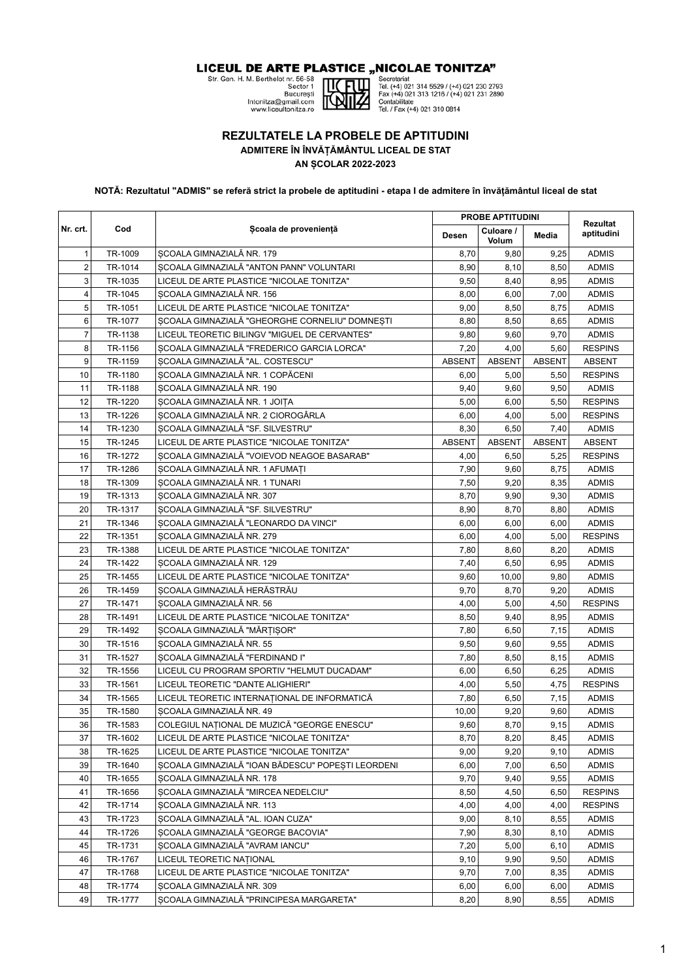LICEUL DE ARTE PLASTICE "NICOLAE TONITZA"

Str. Gen. H. M. Berthelot rr. 56-58<br>Str. Gen. H. M. Berthelot rr. 56-58<br>Bector 1<br>Intonitza@gmail.com<br>www.liceultonitza.ro



Secretariat<br>
Tel. (+4) 021 314 5529 / (+4) 021 230 2793<br>
Fax (+4) 021 313 1216 / (+4) 021 231 2890<br>
Tel. / Fax (+4) 021 310 0814

## **REZULTATELE LA PROBELE DE APTITUDINI**

**ADMITERE ÎN ÎNVĂȚĂMÂNTUL LICEAL DE STAT**

**AN ȘCOLAR 2022-2023**

**NOTĂ: Rezultatul "ADMIS" se referă strict la probele de aptitudini - etapa I de admitere în învățământul liceal de stat**

|                |         |                                                   |               | <b>PROBE APTITUDINI</b> |               | Rezultat<br>aptitudini<br><b>ADMIS</b><br><b>ADMIS</b><br><b>ADMIS</b><br><b>ADMIS</b><br><b>ADMIS</b><br><b>ADMIS</b><br><b>ADMIS</b><br><b>RESPINS</b><br><b>ABSENT</b><br><b>RESPINS</b><br><b>ADMIS</b><br><b>RESPINS</b><br><b>RESPINS</b><br><b>ADMIS</b><br><b>ABSENT</b><br><b>RESPINS</b><br><b>ADMIS</b><br><b>ADMIS</b><br><b>ADMIS</b><br><b>ADMIS</b><br><b>ADMIS</b><br><b>RESPINS</b><br><b>ADMIS</b><br><b>ADMIS</b><br><b>ADMIS</b><br><b>ADMIS</b><br><b>RESPINS</b><br><b>ADMIS</b> |
|----------------|---------|---------------------------------------------------|---------------|-------------------------|---------------|--------------------------------------------------------------------------------------------------------------------------------------------------------------------------------------------------------------------------------------------------------------------------------------------------------------------------------------------------------------------------------------------------------------------------------------------------------------------------------------------------------|
| Nr. crt.       | Cod     | Scoala de proveniență                             | <b>Desen</b>  | Culoare /<br>Volum      | Media         |                                                                                                                                                                                                                                                                                                                                                                                                                                                                                                        |
| $\mathbf{1}$   | TR-1009 | SCOALA GIMNAZIALĂ NR. 179                         | 8,70          | 9,80                    | 9,25          |                                                                                                                                                                                                                                                                                                                                                                                                                                                                                                        |
| $\overline{2}$ | TR-1014 | SCOALA GIMNAZIALĂ "ANTON PANN" VOLUNTARI          | 8,90          | 8,10                    | 8,50          |                                                                                                                                                                                                                                                                                                                                                                                                                                                                                                        |
| 3              | TR-1035 | LICEUL DE ARTE PLASTICE "NICOLAE TONITZA"         | 9,50          | 8,40                    | 8,95          |                                                                                                                                                                                                                                                                                                                                                                                                                                                                                                        |
| $\overline{4}$ | TR-1045 | SCOALA GIMNAZIALĂ NR. 156                         | 8,00          | 6,00                    | 7,00          |                                                                                                                                                                                                                                                                                                                                                                                                                                                                                                        |
| 5              | TR-1051 | LICEUL DE ARTE PLASTICE "NICOLAE TONITZA"         | 9,00          | 8,50                    | 8,75          |                                                                                                                                                                                                                                                                                                                                                                                                                                                                                                        |
| 6              | TR-1077 | SCOALA GIMNAZIALĂ "GHEORGHE CORNELIU" DOMNESTI    | 8,80          | 8,50                    | 8,65          |                                                                                                                                                                                                                                                                                                                                                                                                                                                                                                        |
| $\overline{7}$ | TR-1138 | LICEUL TEORETIC BILINGV "MIGUEL DE CERVANTES"     | 9,80          | 9,60                    | 9,70          |                                                                                                                                                                                                                                                                                                                                                                                                                                                                                                        |
| 8              | TR-1156 | SCOALA GIMNAZIALĂ "FREDERICO GARCIA LORCA"        | 7,20          | 4,00                    | 5,60          |                                                                                                                                                                                                                                                                                                                                                                                                                                                                                                        |
| 9              | TR-1159 | SCOALA GIMNAZIALĂ "AL. COSTESCU"                  | <b>ABSENT</b> | <b>ABSENT</b>           | <b>ABSENT</b> |                                                                                                                                                                                                                                                                                                                                                                                                                                                                                                        |
| 10             | TR-1180 | SCOALA GIMNAZIALĂ NR. 1 COPĂCENI                  | 6,00          | 5,00                    | 5,50          |                                                                                                                                                                                                                                                                                                                                                                                                                                                                                                        |
| 11             | TR-1188 | SCOALA GIMNAZIALĂ NR. 190                         | 9,40          | 9,60                    | 9,50          |                                                                                                                                                                                                                                                                                                                                                                                                                                                                                                        |
| 12             | TR-1220 | SCOALA GIMNAZIALĂ NR. 1 JOIȚA                     | 5,00          | 6,00                    | 5,50          |                                                                                                                                                                                                                                                                                                                                                                                                                                                                                                        |
| 13             | TR-1226 | SCOALA GIMNAZIALĂ NR. 2 CIOROGÂRLA                | 6,00          | 4,00                    | 5,00          |                                                                                                                                                                                                                                                                                                                                                                                                                                                                                                        |
| 14             | TR-1230 | SCOALA GIMNAZIALĂ "SF. SILVESTRU"                 | 8,30          | 6,50                    | 7,40          |                                                                                                                                                                                                                                                                                                                                                                                                                                                                                                        |
| 15             | TR-1245 | LICEUL DE ARTE PLASTICE "NICOLAE TONITZA"         | <b>ABSENT</b> | <b>ABSENT</b>           | <b>ABSENT</b> |                                                                                                                                                                                                                                                                                                                                                                                                                                                                                                        |
| 16             | TR-1272 | SCOALA GIMNAZIALĂ "VOIEVOD NEAGOE BASARAB"        | 4,00          | 6,50                    | 5,25          |                                                                                                                                                                                                                                                                                                                                                                                                                                                                                                        |
| 17             | TR-1286 | SCOALA GIMNAZIALĂ NR. 1 AFUMAȚI                   | 7,90          | 9,60                    | 8,75          |                                                                                                                                                                                                                                                                                                                                                                                                                                                                                                        |
| 18             | TR-1309 | SCOALA GIMNAZIALĂ NR. 1 TUNARI                    | 7,50          | 9,20                    | 8,35          |                                                                                                                                                                                                                                                                                                                                                                                                                                                                                                        |
| 19             | TR-1313 | SCOALA GIMNAZIALĂ NR. 307                         | 8,70          | 9,90                    | 9,30          |                                                                                                                                                                                                                                                                                                                                                                                                                                                                                                        |
| 20             | TR-1317 | SCOALA GIMNAZIALĂ "SF. SILVESTRU"                 | 8,90          | 8,70                    | 8,80          |                                                                                                                                                                                                                                                                                                                                                                                                                                                                                                        |
| 21             | TR-1346 | SCOALA GIMNAZIALĂ "LEONARDO DA VINCI"             | 6,00          | 6,00                    | 6,00          |                                                                                                                                                                                                                                                                                                                                                                                                                                                                                                        |
| 22             | TR-1351 | SCOALA GIMNAZIALĂ NR. 279                         | 6,00          | 4,00                    | 5,00          |                                                                                                                                                                                                                                                                                                                                                                                                                                                                                                        |
| 23             | TR-1388 | LICEUL DE ARTE PLASTICE "NICOLAE TONITZA"         | 7,80          | 8,60                    | 8,20          |                                                                                                                                                                                                                                                                                                                                                                                                                                                                                                        |
| 24             | TR-1422 | SCOALA GIMNAZIALĂ NR. 129                         | 7,40          | 6,50                    | 6,95          |                                                                                                                                                                                                                                                                                                                                                                                                                                                                                                        |
| 25             | TR-1455 | LICEUL DE ARTE PLASTICE "NICOLAE TONITZA"         | 9,60          | 10,00                   | 9,80          |                                                                                                                                                                                                                                                                                                                                                                                                                                                                                                        |
| 26             | TR-1459 | SCOALA GIMNAZIALĂ HERĂSTRĂU                       | 9,70          | 8,70                    | 9,20          |                                                                                                                                                                                                                                                                                                                                                                                                                                                                                                        |
| 27             | TR-1471 | SCOALA GIMNAZIALĂ NR. 56                          | 4,00          | 5,00                    | 4,50          |                                                                                                                                                                                                                                                                                                                                                                                                                                                                                                        |
| 28             | TR-1491 | LICEUL DE ARTE PLASTICE "NICOLAE TONITZA"         | 8,50          | 9,40                    | 8,95          |                                                                                                                                                                                                                                                                                                                                                                                                                                                                                                        |
| 29             | TR-1492 | SCOALA GIMNAZIALĂ "MĂRȚISOR"                      | 7,80          | 6,50                    | 7,15          | <b>ADMIS</b>                                                                                                                                                                                                                                                                                                                                                                                                                                                                                           |
| 30             | TR-1516 | SCOALA GIMNAZIALĂ NR. 55                          | 9,50          | 9,60                    | 9,55          | <b>ADMIS</b>                                                                                                                                                                                                                                                                                                                                                                                                                                                                                           |
| 31             | TR-1527 | SCOALA GIMNAZIALĂ "FERDINAND I"                   | 7,80          | 8,50                    | 8,15          | <b>ADMIS</b>                                                                                                                                                                                                                                                                                                                                                                                                                                                                                           |
| 32             | TR-1556 | LICEUL CU PROGRAM SPORTIV "HELMUT DUCADAM"        | 6,00          | 6,50                    | 6,25          | <b>ADMIS</b>                                                                                                                                                                                                                                                                                                                                                                                                                                                                                           |
| 33             | TR-1561 | LICEUL TEORETIC "DANTE ALIGHIERI"                 | 4,00          | 5,50                    | 4,75          | <b>RESPINS</b>                                                                                                                                                                                                                                                                                                                                                                                                                                                                                         |
| 34             | TR-1565 | LICEUL TEORETIC INTERNAȚIONAL DE INFORMATICĂ      | 7,80          | 6,50                    | 7,15          | <b>ADMIS</b>                                                                                                                                                                                                                                                                                                                                                                                                                                                                                           |
| 35             | TR-1580 | SCOALA GIMNAZIALĂ NR. 49                          | 10,00         | 9,20                    | 9,60          | <b>ADMIS</b>                                                                                                                                                                                                                                                                                                                                                                                                                                                                                           |
| 36             | TR-1583 | COLEGIUL NAȚIONAL DE MUZICĂ "GEORGE ENESCU"       | 9,60          | 8,70                    | 9,15          | <b>ADMIS</b>                                                                                                                                                                                                                                                                                                                                                                                                                                                                                           |
| 37             | TR-1602 | LICEUL DE ARTE PLASTICE "NICOLAE TONITZA"         | 8,70          | 8,20                    | 8,45          | <b>ADMIS</b>                                                                                                                                                                                                                                                                                                                                                                                                                                                                                           |
| 38             | TR-1625 | LICEUL DE ARTE PLASTICE "NICOLAE TONITZA"         | 9,00          | 9,20                    | 9,10          | <b>ADMIS</b>                                                                                                                                                                                                                                                                                                                                                                                                                                                                                           |
| 39             | TR-1640 | SCOALA GIMNAZIALĂ "IOAN BĂDESCU" POPEȘTI LEORDENI | 6,00          | 7,00                    | 6,50          | <b>ADMIS</b>                                                                                                                                                                                                                                                                                                                                                                                                                                                                                           |
| 40             | TR-1655 | SCOALA GIMNAZIALĂ NR. 178                         | 9,70          | 9,40                    | 9,55          | <b>ADMIS</b>                                                                                                                                                                                                                                                                                                                                                                                                                                                                                           |
| 41             | TR-1656 | SCOALA GIMNAZIALĂ "MIRCEA NEDELCIU"               | 8,50          | 4,50                    | 6,50          | <b>RESPINS</b>                                                                                                                                                                                                                                                                                                                                                                                                                                                                                         |
| 42             | TR-1714 | SCOALA GIMNAZIALĂ NR. 113                         | 4,00          | 4,00                    | 4,00          | <b>RESPINS</b>                                                                                                                                                                                                                                                                                                                                                                                                                                                                                         |
| 43             | TR-1723 | SCOALA GIMNAZIALĂ "AL. IOAN CUZA"                 | 9,00          | 8,10                    | 8,55          | <b>ADMIS</b>                                                                                                                                                                                                                                                                                                                                                                                                                                                                                           |
| 44             | TR-1726 | SCOALA GIMNAZIALĂ "GEORGE BACOVIA"                | 7,90          | 8,30                    | 8,10          | <b>ADMIS</b>                                                                                                                                                                                                                                                                                                                                                                                                                                                                                           |
| 45             | TR-1731 | SCOALA GIMNAZIALĂ "AVRAM IANCU"                   | 7,20          | 5,00                    | 6, 10         | <b>ADMIS</b>                                                                                                                                                                                                                                                                                                                                                                                                                                                                                           |
| 46             | TR-1767 | LICEUL TEORETIC NATIONAL                          | 9,10          | 9,90                    | 9,50          | <b>ADMIS</b>                                                                                                                                                                                                                                                                                                                                                                                                                                                                                           |
| 47             | TR-1768 | LICEUL DE ARTE PLASTICE "NICOLAE TONITZA"         | 9,70          | 7,00                    | 8,35          | <b>ADMIS</b>                                                                                                                                                                                                                                                                                                                                                                                                                                                                                           |
| 48             | TR-1774 | SCOALA GIMNAZIALĂ NR. 309                         | 6,00          | 6,00                    | 6,00          | <b>ADMIS</b>                                                                                                                                                                                                                                                                                                                                                                                                                                                                                           |
| 49             | TR-1777 | SCOALA GIMNAZIALĂ "PRINCIPESA MARGARETA"          | 8,20          | 8,90                    | 8,55          | <b>ADMIS</b>                                                                                                                                                                                                                                                                                                                                                                                                                                                                                           |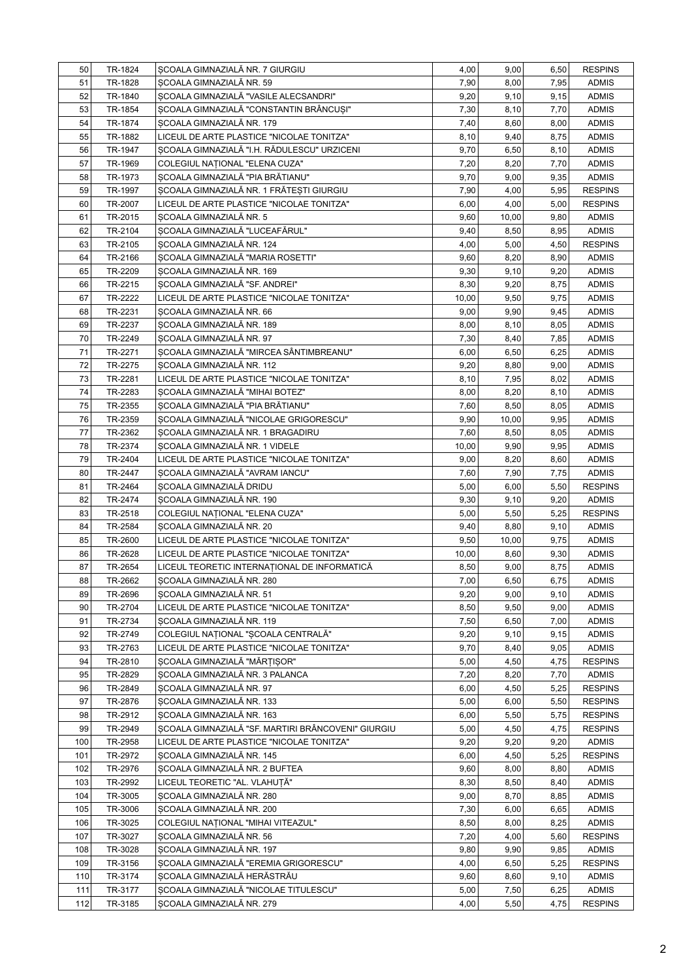| 50  | TR-1824 | SCOALA GIMNAZIALĂ NR. 7 GIURGIU                    | 4,00  | 9,00  | 6,50 | <b>RESPINS</b>               |
|-----|---------|----------------------------------------------------|-------|-------|------|------------------------------|
| 51  | TR-1828 | SCOALA GIMNAZIALĂ NR. 59                           | 7,90  | 8,00  | 7,95 | <b>ADMIS</b>                 |
| 52  | TR-1840 | SCOALA GIMNAZIALĂ "VASILE ALECSANDRI"              | 9,20  | 9,10  | 9,15 | <b>ADMIS</b>                 |
| 53  | TR-1854 | SCOALA GIMNAZIALĂ "CONSTANTIN BRÂNCUȘI"            | 7,30  | 8,10  | 7,70 | <b>ADMIS</b>                 |
| 54  | TR-1874 | SCOALA GIMNAZIALĂ NR. 179                          | 7,40  | 8,60  | 8,00 | <b>ADMIS</b>                 |
| 55  | TR-1882 | LICEUL DE ARTE PLASTICE "NICOLAE TONITZA"          | 8,10  | 9,40  | 8,75 | <b>ADMIS</b>                 |
| 56  | TR-1947 | SCOALA GIMNAZIALĂ "I.H. RĂDULESCU" URZICENI        | 9,70  | 6,50  | 8,10 | <b>ADMIS</b>                 |
| 57  | TR-1969 | COLEGIUL NAȚIONAL "ELENA CUZA"                     | 7,20  | 8,20  | 7,70 | <b>ADMIS</b>                 |
| 58  | TR-1973 | SCOALA GIMNAZIALĂ "PIA BRĂTIANU"                   | 9,70  | 9,00  | 9,35 | <b>ADMIS</b>                 |
| 59  | TR-1997 | SCOALA GIMNAZIALĂ NR. 1 FRĂTESTI GIURGIU           | 7,90  | 4,00  | 5,95 | <b>RESPINS</b>               |
| 60  | TR-2007 | LICEUL DE ARTE PLASTICE "NICOLAE TONITZA"          | 6,00  | 4,00  | 5,00 | <b>RESPINS</b>               |
| 61  | TR-2015 | SCOALA GIMNAZIALĂ NR. 5                            | 9,60  | 10,00 | 9,80 | <b>ADMIS</b>                 |
| 62  | TR-2104 | SCOALA GIMNAZIALĂ "LUCEAFĂRUL"                     | 9,40  | 8,50  | 8,95 | <b>ADMIS</b>                 |
| 63  | TR-2105 | SCOALA GIMNAZIALĂ NR. 124                          | 4,00  | 5,00  | 4,50 | <b>RESPINS</b>               |
| 64  | TR-2166 | SCOALA GIMNAZIALĂ "MARIA ROSETTI"                  | 9,60  | 8,20  | 8,90 | <b>ADMIS</b>                 |
| 65  | TR-2209 | SCOALA GIMNAZIALĂ NR. 169                          | 9,30  | 9,10  | 9,20 | <b>ADMIS</b>                 |
| 66  | TR-2215 | SCOALA GIMNAZIALĂ "SF. ANDREI"                     | 8,30  | 9,20  | 8,75 | <b>ADMIS</b>                 |
| 67  | TR-2222 | LICEUL DE ARTE PLASTICE "NICOLAE TONITZA"          | 10,00 | 9,50  | 9,75 | <b>ADMIS</b>                 |
| 68  | TR-2231 | SCOALA GIMNAZIALĂ NR. 66                           | 9,00  | 9,90  | 9,45 | <b>ADMIS</b>                 |
| 69  | TR-2237 | SCOALA GIMNAZIALĂ NR. 189                          | 8,00  | 8,10  | 8,05 | <b>ADMIS</b>                 |
| 70  | TR-2249 | SCOALA GIMNAZIALĂ NR. 97                           | 7,30  | 8,40  | 7,85 | <b>ADMIS</b>                 |
| 71  | TR-2271 | SCOALA GIMNAZIALĂ "MIRCEA SÂNTIMBREANU"            | 6,00  | 6,50  | 6,25 | <b>ADMIS</b>                 |
| 72  | TR-2275 | SCOALA GIMNAZIALĂ NR. 112                          | 9,20  | 8,80  | 9,00 | <b>ADMIS</b>                 |
| 73  | TR-2281 | LICEUL DE ARTE PLASTICE "NICOLAE TONITZA"          | 8,10  | 7,95  | 8,02 | <b>ADMIS</b>                 |
| 74  | TR-2283 | SCOALA GIMNAZIALĂ "MIHAI BOTEZ"                    | 8,00  | 8,20  | 8,10 | <b>ADMIS</b>                 |
| 75  | TR-2355 | SCOALA GIMNAZIALĂ "PIA BRĂTIANU"                   | 7,60  | 8,50  | 8,05 | <b>ADMIS</b>                 |
| 76  | TR-2359 | SCOALA GIMNAZIALĂ "NICOLAE GRIGORESCU"             | 9,90  | 10,00 | 9,95 | <b>ADMIS</b>                 |
| 77  | TR-2362 | SCOALA GIMNAZIALĂ NR. 1 BRAGADIRU                  | 7,60  | 8,50  | 8,05 | <b>ADMIS</b>                 |
| 78  | TR-2374 | SCOALA GIMNAZIALĂ NR. 1 VIDELE                     | 10,00 | 9,90  | 9,95 | <b>ADMIS</b>                 |
| 79  | TR-2404 | LICEUL DE ARTE PLASTICE "NICOLAE TONITZA"          | 9,00  | 8,20  | 8,60 | <b>ADMIS</b>                 |
| 80  | TR-2447 | SCOALA GIMNAZIALĂ "AVRAM IANCU"                    | 7,60  | 7,90  | 7,75 | <b>ADMIS</b>                 |
| 81  | TR-2464 | SCOALA GIMNAZIALĂ DRIDU                            | 5,00  | 6,00  | 5,50 | <b>RESPINS</b>               |
| 82  | TR-2474 | SCOALA GIMNAZIALĂ NR. 190                          | 9,30  | 9,10  | 9,20 | <b>ADMIS</b>                 |
| 83  | TR-2518 | COLEGIUL NAȚIONAL "ELENA CUZA"                     | 5,00  | 5,50  | 5,25 | <b>RESPINS</b>               |
| 84  | TR-2584 | SCOALA GIMNAZIALĂ NR. 20                           | 9,40  | 8,80  | 9,10 | <b>ADMIS</b>                 |
| 85  | TR-2600 | LICEUL DE ARTE PLASTICE "NICOLAE TONITZA"          | 9,50  | 10,00 | 9,75 | <b>ADMIS</b>                 |
| 86  | TR-2628 | LICEUL DE ARTE PLASTICE "NICOLAE TONITZA"          | 10,00 | 8,60  | 9,30 | <b>ADMIS</b>                 |
| 87  | TR-2654 | LICEUL TEORETIC INTERNAȚIONAL DE INFORMATICĂ       | 8,50  | 9,00  | 8,75 | <b>ADMIS</b>                 |
| 88  | TR-2662 | SCOALA GIMNAZIALĂ NR. 280                          | 7,00  | 6,50  | 6,75 |                              |
| 89  |         | SCOALA GIMNAZIALĂ NR. 51                           |       |       |      | <b>ADMIS</b><br><b>ADMIS</b> |
|     | TR-2696 | LICEUL DE ARTE PLASTICE "NICOLAE TONITZA"          | 9,20  | 9,00  | 9,10 |                              |
| 90  | TR-2704 |                                                    | 8,50  | 9,50  | 9,00 | <b>ADMIS</b>                 |
| 91  | TR-2734 | SCOALA GIMNAZIALĂ NR. 119                          | 7,50  | 6,50  | 7,00 | <b>ADMIS</b>                 |
| 92  | TR-2749 | COLEGIUL NAȚIONAL "ȘCOALA CENTRALĂ"                | 9,20  | 9,10  | 9,15 | <b>ADMIS</b>                 |
| 93  | TR-2763 | LICEUL DE ARTE PLASTICE "NICOLAE TONITZA"          | 9,70  | 8,40  | 9,05 | <b>ADMIS</b>                 |
| 94  | TR-2810 | SCOALA GIMNAZIALĂ "MĂRȚISOR"                       | 5,00  | 4,50  | 4,75 | <b>RESPINS</b>               |
| 95  | TR-2829 | SCOALA GIMNAZIALĂ NR. 3 PALANCA                    | 7,20  | 8,20  | 7,70 | <b>ADMIS</b>                 |
| 96  | TR-2849 | SCOALA GIMNAZIALĂ NR. 97                           | 6,00  | 4,50  | 5,25 | <b>RESPINS</b>               |
| 97  | TR-2876 | SCOALA GIMNAZIALĂ NR. 133                          | 5,00  | 6,00  | 5,50 | <b>RESPINS</b>               |
| 98  | TR-2912 | ȘCOALA GIMNAZIALĂ NR. 163                          | 6,00  | 5,50  | 5,75 | <b>RESPINS</b>               |
| 99  | TR-2949 | SCOALA GIMNAZIALĂ "SF. MARTIRI BRÂNCOVENI" GIURGIU | 5,00  | 4,50  | 4,75 | <b>RESPINS</b>               |
| 100 | TR-2958 | LICEUL DE ARTE PLASTICE "NICOLAE TONITZA"          | 9,20  | 9,20  | 9,20 | <b>ADMIS</b>                 |
| 101 | TR-2972 | SCOALA GIMNAZIALĂ NR. 145                          | 6,00  | 4,50  | 5,25 | <b>RESPINS</b>               |
| 102 | TR-2976 | SCOALA GIMNAZIALĂ NR. 2 BUFTEA                     | 9,60  | 8,00  | 8,80 | <b>ADMIS</b>                 |
| 103 | TR-2992 | LICEUL TEORETIC "AL. VLAHUȚĂ"                      | 8,30  | 8,50  | 8,40 | <b>ADMIS</b>                 |
| 104 | TR-3005 | SCOALA GIMNAZIALĂ NR. 280                          | 9,00  | 8,70  | 8,85 | <b>ADMIS</b>                 |
| 105 | TR-3006 | SCOALA GIMNAZIALĂ NR. 200                          | 7,30  | 6,00  | 6,65 | <b>ADMIS</b>                 |
| 106 | TR-3025 | COLEGIUL NAȚIONAL "MIHAI VITEAZUL"                 | 8,50  | 8,00  | 8,25 | <b>ADMIS</b>                 |
| 107 | TR-3027 | SCOALA GIMNAZIALĂ NR. 56                           | 7,20  | 4,00  | 5,60 | <b>RESPINS</b>               |
| 108 | TR-3028 | SCOALA GIMNAZIALĂ NR. 197                          | 9,80  | 9,90  | 9,85 | <b>ADMIS</b>                 |
| 109 | TR-3156 | SCOALA GIMNAZIALĂ "EREMIA GRIGORESCU"              | 4,00  | 6,50  | 5,25 | <b>RESPINS</b>               |
| 110 | TR-3174 | SCOALA GIMNAZIALĂ HERĂSTRĂU                        | 9,60  | 8,60  | 9,10 | <b>ADMIS</b>                 |
| 111 | TR-3177 | SCOALA GIMNAZIALĂ "NICOLAE TITULESCU"              | 5,00  | 7,50  | 6,25 | <b>ADMIS</b>                 |
| 112 | TR-3185 | SCOALA GIMNAZIALĂ NR. 279                          | 4,00  | 5,50  | 4,75 | <b>RESPINS</b>               |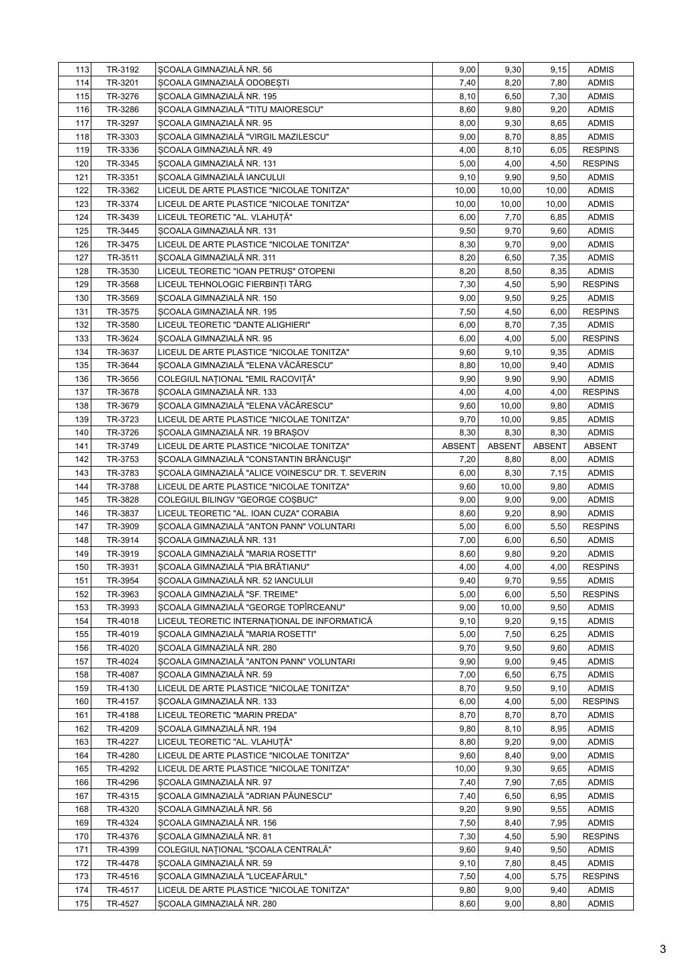| 113        | TR-3192            | SCOALA GIMNAZIALĂ NR. 56                                   | 9,00          | 9,30          | 9,15          | <b>ADMIS</b>                   |
|------------|--------------------|------------------------------------------------------------|---------------|---------------|---------------|--------------------------------|
| 114        | TR-3201            | SCOALA GIMNAZIALĂ ODOBESTI                                 | 7,40          | 8,20          | 7,80          | <b>ADMIS</b>                   |
| 115        | TR-3276            | SCOALA GIMNAZIALĂ NR. 195                                  | 8,10          | 6,50          | 7,30          | <b>ADMIS</b>                   |
| 116        | TR-3286            | SCOALA GIMNAZIALĂ "TITU MAIORESCU"                         | 8,60          | 9,80          | 9,20          | <b>ADMIS</b>                   |
| 117        | TR-3297            | SCOALA GIMNAZIALĂ NR. 95                                   | 8,00          | 9,30          | 8,65          | <b>ADMIS</b>                   |
| 118        | TR-3303            | SCOALA GIMNAZIALĂ "VIRGIL MAZILESCU"                       | 9,00          | 8,70          | 8,85          | ADMIS                          |
| 119        | TR-3336            | SCOALA GIMNAZIALĂ NR. 49                                   | 4,00          | 8,10          | 6,05          | <b>RESPINS</b>                 |
| 120        | TR-3345            | SCOALA GIMNAZIALĂ NR. 131                                  | 5,00          | 4,00          | 4,50          | <b>RESPINS</b>                 |
| 121        | TR-3351            | SCOALA GIMNAZIALĂ IANCULUI                                 | 9,10          | 9,90          | 9,50          | <b>ADMIS</b>                   |
| 122        | TR-3362            | LICEUL DE ARTE PLASTICE "NICOLAE TONITZA"                  | 10,00         | 10,00         | 10,00         | <b>ADMIS</b>                   |
| 123        | TR-3374            | LICEUL DE ARTE PLASTICE "NICOLAE TONITZA"                  | 10,00         | 10,00         | 10,00         | <b>ADMIS</b>                   |
| 124        | TR-3439            | LICEUL TEORETIC "AL. VLAHUȚĂ"                              | 6,00          | 7,70          | 6,85          | <b>ADMIS</b>                   |
| 125        | TR-3445            | SCOALA GIMNAZIALĂ NR. 131                                  | 9,50          | 9,70          | 9,60          | <b>ADMIS</b>                   |
| 126        | TR-3475            | LICEUL DE ARTE PLASTICE "NICOLAE TONITZA"                  | 8,30          | 9,70          | 9,00          | <b>ADMIS</b>                   |
| 127        | TR-3511            | SCOALA GIMNAZIALĂ NR. 311                                  | 8,20          | 6,50          | 7,35          | <b>ADMIS</b>                   |
| 128        | TR-3530            | LICEUL TEORETIC "IOAN PETRUȘ" OTOPENI                      | 8,20          | 8,50          | 8,35          | <b>ADMIS</b>                   |
| 129        | TR-3568            | LICEUL TEHNOLOGIC FIERBINȚI TÂRG                           | 7,30          | 4,50          | 5,90          | <b>RESPINS</b>                 |
| 130        | TR-3569            | SCOALA GIMNAZIALĂ NR. 150                                  | 9,00          | 9,50          | 9,25          | <b>ADMIS</b>                   |
| 131        | TR-3575            | SCOALA GIMNAZIALĂ NR. 195                                  | 7,50          | 4,50          | 6,00          | <b>RESPINS</b>                 |
| 132        | TR-3580            | LICEUL TEORETIC "DANTE ALIGHIERI"                          | 6,00          | 8,70          | 7,35          | <b>ADMIS</b>                   |
| 133        | TR-3624            | SCOALA GIMNAZIALĂ NR. 95                                   | 6,00          | 4,00          | 5,00          | <b>RESPINS</b>                 |
| 134        | TR-3637            | LICEUL DE ARTE PLASTICE "NICOLAE TONITZA"                  | 9,60          | 9,10          | 9,35          | <b>ADMIS</b>                   |
| 135        | TR-3644            | ȘCOALA GIMNAZIALĂ "ELENA VĂCĂRESCU"                        | 8,80          | 10,00         | 9,40          | <b>ADMIS</b>                   |
| 136        | TR-3656            | COLEGIUL NAȚIONAL "EMIL RACOVIȚĂ"                          | 9,90          | 9,90          | 9,90          | <b>ADMIS</b>                   |
| 137        | TR-3678            | SCOALA GIMNAZIALĂ NR. 133                                  | 4,00          | 4,00          | 4,00          | <b>RESPINS</b>                 |
| 138        | TR-3679            | SCOALA GIMNAZIALĂ "ELENA VĂCĂRESCU"                        | 9,60          | 10,00         | 9,80          | <b>ADMIS</b>                   |
| 139        | TR-3723            | LICEUL DE ARTE PLASTICE "NICOLAE TONITZA"                  | 9,70          | 10,00         | 9,85          | <b>ADMIS</b>                   |
| 140        | TR-3726            | SCOALA GIMNAZIALĂ NR. 19 BRAȘOV                            | 8,30          | 8,30          | 8,30          | <b>ADMIS</b>                   |
| 141        | TR-3749            | LICEUL DE ARTE PLASTICE "NICOLAE TONITZA"                  | <b>ABSENT</b> | <b>ABSENT</b> | <b>ABSENT</b> | <b>ABSENT</b>                  |
| 142        | TR-3753            | SCOALA GIMNAZIALĂ "CONSTANTIN BRÂNCUȘI"                    | 7,20          | 8,80          | 8,00          | <b>ADMIS</b>                   |
| 143        | TR-3783            | SCOALA GIMNAZIALĂ "ALICE VOINESCU" DR. T. SEVERIN          | 6,00          | 8,30          | 7,15          | <b>ADMIS</b>                   |
| 144        | TR-3788            | LICEUL DE ARTE PLASTICE "NICOLAE TONITZA"                  | 9,60          | 10,00         | 9,80          | <b>ADMIS</b>                   |
| 145        | TR-3828            | COLEGIUL BILINGV "GEORGE COSBUC"                           | 9,00          | 9,00          | 9,00          | <b>ADMIS</b>                   |
| 146        | TR-3837            | LICEUL TEORETIC "AL. IOAN CUZA" CORABIA                    | 8,60          | 9,20          | 8,90          | <b>ADMIS</b>                   |
| 147        | TR-3909            | SCOALA GIMNAZIALĂ "ANTON PANN" VOLUNTARI                   | 5,00          | 6,00          | 5,50          | <b>RESPINS</b>                 |
| 148        | TR-3914            | SCOALA GIMNAZIALĂ NR. 131                                  | 7,00          | 6,00          | 6,50          | <b>ADMIS</b>                   |
| 149        | TR-3919            | SCOALA GIMNAZIALĂ "MARIA ROSETTI"                          | 8,60          | 9,80          | 9,20          | <b>ADMIS</b>                   |
| 150        | TR-3931            | ȘCOALA GIMNAZIALĂ "PIA BRĂTIANU"                           | 4,00          | 4,00          | 4,00          | <b>RESPINS</b>                 |
| 151        | TR-3954            | SCOALA GIMNAZIALĂ NR. 52 IANCULUI                          | 9,40          | 9,70          | 9,55          | <b>ADMIS</b>                   |
| 152        | TR-3963            | SCOALA GIMNAZIALĂ "SF. TREIME"                             | 5,00          | 6,00          | 5,50          | <b>RESPINS</b>                 |
| 153        | TR-3993            | SCOALA GIMNAZIALĂ "GEORGE TOPÎRCEANU"                      | 9,00          | 10,00         | 9,50          | <b>ADMIS</b>                   |
| 154        | TR-4018            | LICEUL TEORETIC INTERNAȚIONAL DE INFORMATICĂ               | 9,10          | 9,20          | 9,15          | <b>ADMIS</b>                   |
| 155        | TR-4019            | SCOALA GIMNAZIALĂ "MARIA ROSETTI"                          | 5,00          | 7,50          | 6,25          | <b>ADMIS</b>                   |
| 156        | TR-4020            | SCOALA GIMNAZIALĂ NR. 280                                  | 9,70          | 9,50          | 9,60          | <b>ADMIS</b>                   |
| 157        | TR-4024            | SCOALA GIMNAZIALĂ "ANTON PANN" VOLUNTARI                   | 9,90          | 9,00          | 9,45          | <b>ADMIS</b>                   |
| 158        | TR-4087            | SCOALA GIMNAZIALĂ NR. 59                                   | 7,00          | 6,50          | 6,75          | <b>ADMIS</b>                   |
| 159        | TR-4130            | LICEUL DE ARTE PLASTICE "NICOLAE TONITZA"                  | 8,70          | 9,50          | 9,10          | <b>ADMIS</b>                   |
| 160        | TR-4157            | SCOALA GIMNAZIALĂ NR. 133                                  | 6,00          | 4,00          | 5,00          | <b>RESPINS</b>                 |
| 161        | TR-4188            | LICEUL TEORETIC "MARIN PREDA"                              | 8,70          | 8,70          | 8,70          | <b>ADMIS</b>                   |
| 162        | TR-4209            | SCOALA GIMNAZIALĂ NR. 194                                  | 9,80          | 8,10          | 8,95          | <b>ADMIS</b>                   |
| 163        | TR-4227            | LICEUL TEORETIC "AL. VLAHUȚĂ"                              | 8,80          | 9,20          | 9,00          | <b>ADMIS</b>                   |
| 164        | TR-4280            | LICEUL DE ARTE PLASTICE "NICOLAE TONITZA"                  | 9,60          | 8,40          | 9,00          | <b>ADMIS</b>                   |
| 165        | TR-4292            | LICEUL DE ARTE PLASTICE "NICOLAE TONITZA"                  | 10,00         | 9,30          | 9,65          | <b>ADMIS</b>                   |
| 166        | TR-4296            | SCOALA GIMNAZIALĂ NR. 97                                   | 7,40          | 7,90          | 7,65          | <b>ADMIS</b>                   |
| 167        | TR-4315            | SCOALA GIMNAZIALĂ "ADRIAN PĂUNESCU"                        | 7,40          | 6,50          | 6,95          | <b>ADMIS</b>                   |
| 168        | TR-4320            | SCOALA GIMNAZIALĂ NR. 56                                   | 9,20          | 9,90          | 9,55          | <b>ADMIS</b>                   |
|            |                    |                                                            |               |               |               |                                |
| 169        | TR-4324            | SCOALA GIMNAZIALĂ NR. 156<br>SCOALA GIMNAZIALĂ NR. 81      | 7,50          | 8,40          | 7,95          | <b>ADMIS</b>                   |
| 170<br>171 | TR-4376<br>TR-4399 | COLEGIUL NAȚIONAL "ȘCOALA CENTRALĂ"                        | 7,30<br>9,60  | 4,50<br>9,40  | 5,90<br>9,50  | <b>RESPINS</b><br><b>ADMIS</b> |
|            |                    |                                                            |               |               |               |                                |
| 172        | TR-4478            | SCOALA GIMNAZIALĂ NR. 59<br>SCOALA GIMNAZIALĂ "LUCEAFĂRUL" | 9,10          | 7,80          | 8,45          | <b>ADMIS</b><br><b>RESPINS</b> |
| 173        | TR-4516            |                                                            | 7,50          | 4,00          | 5,75          |                                |
| 174        | TR-4517            | LICEUL DE ARTE PLASTICE "NICOLAE TONITZA"                  | 9,80          | 9,00          | 9,40          | <b>ADMIS</b>                   |
| 175        | TR-4527            | SCOALA GIMNAZIALĂ NR. 280                                  | 8,60          | 9,00          | 8,80          | <b>ADMIS</b>                   |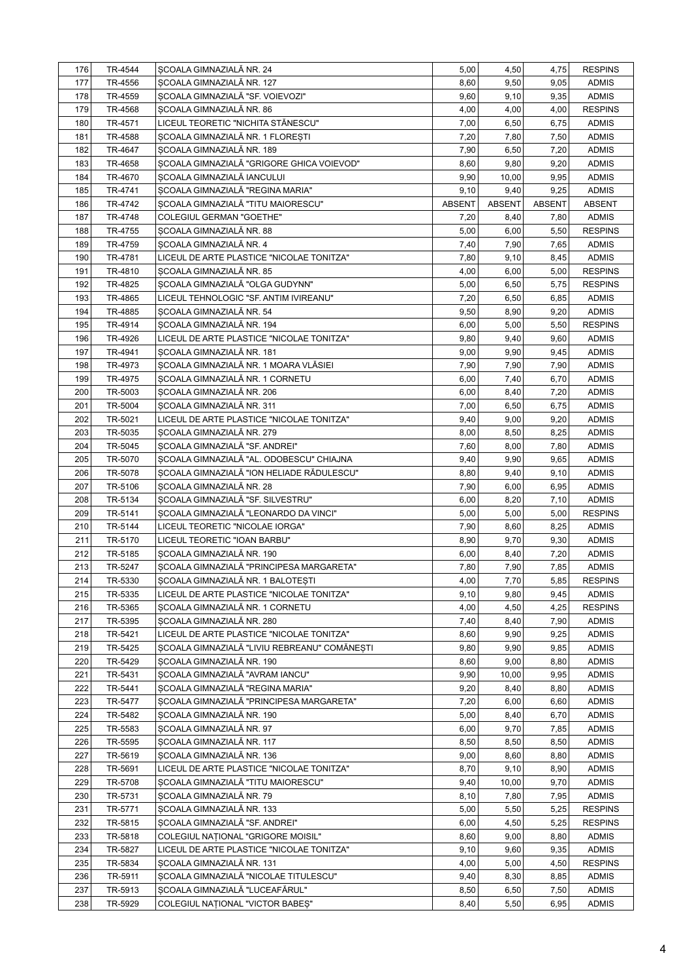| 176 | TR-4544 | SCOALA GIMNAZIALĂ NR. 24                     | 5,00          | 4,50          | 4,75          | <b>RESPINS</b> |
|-----|---------|----------------------------------------------|---------------|---------------|---------------|----------------|
| 177 | TR-4556 | SCOALA GIMNAZIALĂ NR. 127                    | 8,60          | 9,50          | 9,05          | <b>ADMIS</b>   |
| 178 | TR-4559 | SCOALA GIMNAZIALĂ "SF. VOIEVOZI"             | 9,60          | 9,10          | 9,35          | <b>ADMIS</b>   |
| 179 | TR-4568 | SCOALA GIMNAZIALĂ NR. 86                     | 4,00          | 4,00          | 4,00          | <b>RESPINS</b> |
| 180 | TR-4571 | LICEUL TEORETIC "NICHITA STÂNESCU"           | 7,00          | 6,50          | 6,75          | <b>ADMIS</b>   |
| 181 | TR-4588 | SCOALA GIMNAZIALĂ NR. 1 FLORESTI             | 7,20          | 7,80          | 7,50          | <b>ADMIS</b>   |
| 182 | TR-4647 | SCOALA GIMNAZIALĂ NR. 189                    | 7,90          | 6,50          | 7,20          | <b>ADMIS</b>   |
| 183 | TR-4658 | SCOALA GIMNAZIALĂ "GRIGORE GHICA VOIEVOD"    | 8,60          | 9,80          | 9,20          | <b>ADMIS</b>   |
| 184 | TR-4670 | SCOALA GIMNAZIALĂ IANCULUI                   | 9,90          | 10,00         | 9,95          | <b>ADMIS</b>   |
| 185 | TR-4741 | SCOALA GIMNAZIALĂ "REGINA MARIA"             | 9,10          | 9,40          | 9,25          | <b>ADMIS</b>   |
| 186 | TR-4742 | SCOALA GIMNAZIALĂ "TITU MAIORESCU"           | <b>ABSENT</b> | <b>ABSENT</b> | <b>ABSENT</b> | ABSENT         |
| 187 | TR-4748 | COLEGIUL GERMAN "GOETHE"                     | 7,20          | 8,40          | 7,80          | <b>ADMIS</b>   |
| 188 | TR-4755 | SCOALA GIMNAZIALĂ NR. 88                     | 5,00          | 6,00          | 5,50          | <b>RESPINS</b> |
| 189 | TR-4759 | SCOALA GIMNAZIALĂ NR. 4                      | 7,40          | 7,90          | 7,65          | <b>ADMIS</b>   |
| 190 | TR-4781 | LICEUL DE ARTE PLASTICE "NICOLAE TONITZA"    | 7,80          | 9,10          | 8,45          | <b>ADMIS</b>   |
| 191 | TR-4810 | SCOALA GIMNAZIALĂ NR. 85                     | 4,00          | 6,00          | 5,00          | <b>RESPINS</b> |
| 192 | TR-4825 | SCOALA GIMNAZIALĂ "OLGA GUDYNN"              | 5,00          | 6,50          | 5,75          | <b>RESPINS</b> |
| 193 | TR-4865 | LICEUL TEHNOLOGIC "SF. ANTIM IVIREANU"       | 7,20          | 6,50          | 6,85          | <b>ADMIS</b>   |
| 194 | TR-4885 | SCOALA GIMNAZIALĂ NR. 54                     | 9,50          | 8,90          | 9,20          | <b>ADMIS</b>   |
| 195 | TR-4914 | SCOALA GIMNAZIALĂ NR. 194                    | 6,00          | 5,00          | 5,50          | <b>RESPINS</b> |
| 196 | TR-4926 | LICEUL DE ARTE PLASTICE "NICOLAE TONITZA"    | 9,80          | 9,40          | 9,60          | <b>ADMIS</b>   |
| 197 | TR-4941 | ȘCOALA GIMNAZIALĂ NR. 181                    | 9,00          | 9,90          | 9,45          | <b>ADMIS</b>   |
| 198 | TR-4973 | ȘCOALA GIMNAZIALĂ NR. 1 MOARA VLĂSIEI        | 7,90          | 7,90          | 7,90          | <b>ADMIS</b>   |
| 199 | TR-4975 | SCOALA GIMNAZIALĂ NR. 1 CORNETU              | 6,00          | 7,40          | 6,70          | <b>ADMIS</b>   |
| 200 | TR-5003 | SCOALA GIMNAZIALĂ NR. 206                    | 6,00          | 8,40          | 7,20          | <b>ADMIS</b>   |
| 201 | TR-5004 | SCOALA GIMNAZIALĂ NR. 311                    | 7,00          | 6,50          | 6,75          | <b>ADMIS</b>   |
| 202 | TR-5021 | LICEUL DE ARTE PLASTICE "NICOLAE TONITZA"    | 9,40          | 9,00          | 9,20          | <b>ADMIS</b>   |
| 203 | TR-5035 | ȘCOALA GIMNAZIALĂ NR. 279                    | 8,00          | 8,50          | 8,25          | <b>ADMIS</b>   |
| 204 | TR-5045 | SCOALA GIMNAZIALĂ "SF. ANDREI"               | 7,60          | 8,00          | 7,80          | <b>ADMIS</b>   |
| 205 | TR-5070 | SCOALA GIMNAZIALĂ "AL. ODOBESCU" CHIAJNA     | 9,40          | 9,90          | 9,65          | <b>ADMIS</b>   |
| 206 | TR-5078 | SCOALA GIMNAZIALĂ "ION HELIADE RĂDULESCU"    | 8,80          | 9,40          | 9,10          | <b>ADMIS</b>   |
| 207 | TR-5106 | SCOALA GIMNAZIALĂ NR. 28                     | 7,90          | 6,00          | 6,95          | <b>ADMIS</b>   |
| 208 | TR-5134 | SCOALA GIMNAZIALĂ "SF. SILVESTRU"            | 6,00          | 8,20          | 7,10          | <b>ADMIS</b>   |
| 209 | TR-5141 | SCOALA GIMNAZIALĂ "LEONARDO DA VINCI"        | 5,00          | 5,00          | 5,00          | <b>RESPINS</b> |
| 210 | TR-5144 | LICEUL TEORETIC "NICOLAE IORGA"              | 7,90          | 8,60          | 8,25          | <b>ADMIS</b>   |
| 211 | TR-5170 | LICEUL TEORETIC "IOAN BARBU"                 | 8,90          | 9,70          | 9,30          | <b>ADMIS</b>   |
| 212 | TR-5185 | SCOALA GIMNAZIALĂ NR. 190                    | 6,00          | 8,40          | 7,20          | <b>ADMIS</b>   |
| 213 | TR-5247 | SCOALA GIMNAZIALĂ "PRINCIPESA MARGARETA"     | 7,80          | 7,90          | 7,85          | <b>ADMIS</b>   |
| 214 | TR-5330 | SCOALA GIMNAZIALĂ NR. 1 BALOTESTI            | 4,00          | 7,70          | 5,85          | <b>RESPINS</b> |
| 215 | TR-5335 | LICEUL DE ARTE PLASTICE "NICOLAE TONITZA"    | 9,10          | 9,80          | 9,45          | <b>ADMIS</b>   |
| 216 | TR-5365 | SCOALA GIMNAZIALĂ NR. 1 CORNETU              | 4,00          | 4,50          | 4,25          | <b>RESPINS</b> |
| 217 | TR-5395 | SCOALA GIMNAZIALĂ NR. 280                    | 7,40          | 8,40          | 7,90          | ADMIS          |
| 218 | TR-5421 | LICEUL DE ARTE PLASTICE "NICOLAE TONITZA"    | 8,60          | 9,90          | 9,25          | <b>ADMIS</b>   |
| 219 | TR-5425 | SCOALA GIMNAZIALĂ "LIVIU REBREANU" COMĂNEȘTI | 9,80          | 9,90          | 9,85          | <b>ADMIS</b>   |
| 220 | TR-5429 | SCOALA GIMNAZIALĂ NR. 190                    | 8,60          | 9,00          | 8,80          | <b>ADMIS</b>   |
| 221 | TR-5431 | SCOALA GIMNAZIALĂ "AVRAM IANCU"              | 9,90          | 10,00         | 9,95          | <b>ADMIS</b>   |
| 222 | TR-5441 | SCOALA GIMNAZIALĂ "REGINA MARIA"             | 9,20          | 8,40          | 8,80          | <b>ADMIS</b>   |
| 223 | TR-5477 | SCOALA GIMNAZIALĂ "PRINCIPESA MARGARETA"     | 7,20          | 6,00          | 6,60          | <b>ADMIS</b>   |
| 224 | TR-5482 | SCOALA GIMNAZIALĂ NR. 190                    | 5,00          | 8,40          | 6,70          | <b>ADMIS</b>   |
| 225 | TR-5583 | SCOALA GIMNAZIALĂ NR. 97                     | 6,00          | 9,70          | 7,85          | <b>ADMIS</b>   |
| 226 | TR-5595 | SCOALA GIMNAZIALĂ NR. 117                    | 8,50          | 8,50          | 8,50          | <b>ADMIS</b>   |
| 227 | TR-5619 | SCOALA GIMNAZIALĂ NR. 136                    | 9,00          | 8,60          | 8,80          | <b>ADMIS</b>   |
| 228 | TR-5691 | LICEUL DE ARTE PLASTICE "NICOLAE TONITZA"    | 8,70          | 9,10          | 8,90          | <b>ADMIS</b>   |
| 229 | TR-5708 | SCOALA GIMNAZIALĂ "TITU MAIORESCU"           | 9,40          | 10,00         | 9,70          | <b>ADMIS</b>   |
| 230 | TR-5731 | SCOALA GIMNAZIALĂ NR. 79                     | 8,10          | 7,80          | 7,95          | <b>ADMIS</b>   |
| 231 | TR-5771 | SCOALA GIMNAZIALĂ NR. 133                    | 5,00          | 5,50          | 5,25          | <b>RESPINS</b> |
| 232 | TR-5815 | SCOALA GIMNAZIALĂ "SF. ANDREI"               | 6,00          | 4,50          | 5,25          | <b>RESPINS</b> |
| 233 | TR-5818 | COLEGIUL NATIONAL "GRIGORE MOISIL"           | 8,60          | 9,00          | 8,80          | <b>ADMIS</b>   |
| 234 | TR-5827 | LICEUL DE ARTE PLASTICE "NICOLAE TONITZA"    | 9,10          | 9,60          | 9,35          | <b>ADMIS</b>   |
| 235 | TR-5834 | SCOALA GIMNAZIALĂ NR. 131                    | 4,00          | 5,00          | 4,50          | <b>RESPINS</b> |
| 236 | TR-5911 | SCOALA GIMNAZIALĂ "NICOLAE TITULESCU"        | 9,40          | 8,30          | 8,85          | <b>ADMIS</b>   |
| 237 | TR-5913 | SCOALA GIMNAZIALĂ "LUCEAFĂRUL"               | 8,50          | 6,50          | 7,50          | ADMIS          |
| 238 | TR-5929 | COLEGIUL NAȚIONAL "VICTOR BABEȘ"             | 8,40          | 5,50          | 6,95          | ADMIS          |
|     |         |                                              |               |               |               |                |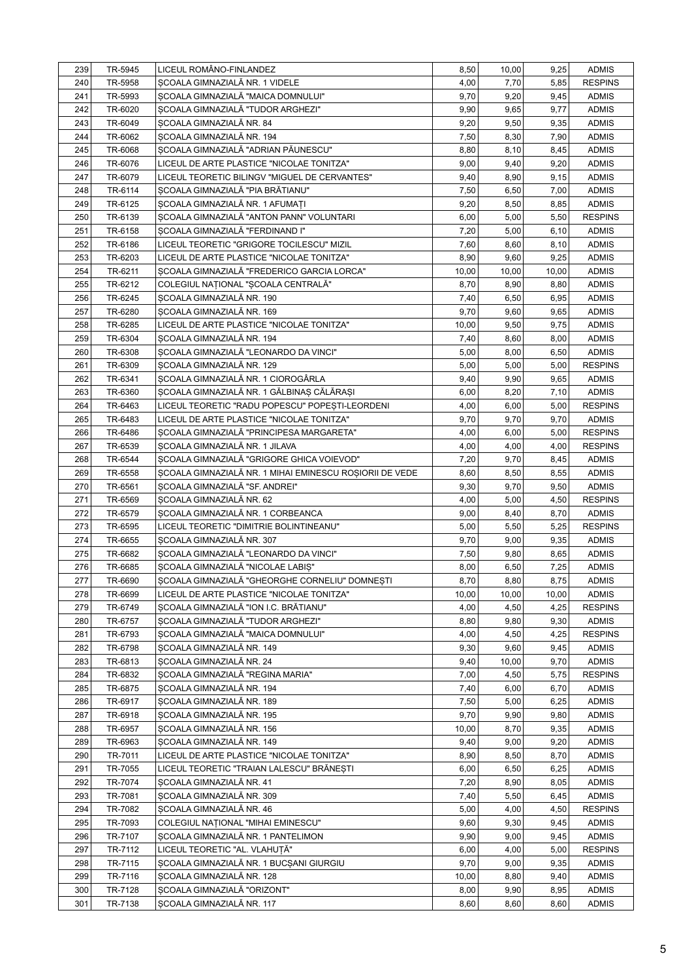| 239 | TR-5945 | LICEUL ROMÂNO-FINLANDEZ                                 | 8,50  | 10,00 | 9,25  | <b>ADMIS</b>   |
|-----|---------|---------------------------------------------------------|-------|-------|-------|----------------|
| 240 | TR-5958 | SCOALA GIMNAZIALĂ NR. 1 VIDELE                          | 4,00  | 7,70  | 5,85  | <b>RESPINS</b> |
| 241 | TR-5993 | SCOALA GIMNAZIALĂ "MAICA DOMNULUI"                      | 9,70  | 9,20  | 9,45  | <b>ADMIS</b>   |
| 242 | TR-6020 | SCOALA GIMNAZIALĂ "TUDOR ARGHEZI"                       | 9,90  | 9,65  | 9,77  | <b>ADMIS</b>   |
| 243 | TR-6049 | SCOALA GIMNAZIALĂ NR. 84                                | 9,20  | 9,50  | 9,35  | <b>ADMIS</b>   |
| 244 | TR-6062 | SCOALA GIMNAZIALĂ NR. 194                               | 7,50  | 8,30  | 7,90  | <b>ADMIS</b>   |
| 245 | TR-6068 | SCOALA GIMNAZIALĂ "ADRIAN PĂUNESCU"                     | 8,80  | 8,10  | 8,45  | <b>ADMIS</b>   |
| 246 | TR-6076 | LICEUL DE ARTE PLASTICE "NICOLAE TONITZA"               | 9,00  | 9,40  | 9,20  | <b>ADMIS</b>   |
| 247 | TR-6079 | LICEUL TEORETIC BILINGV "MIGUEL DE CERVANTES"           | 9,40  | 8,90  | 9,15  | <b>ADMIS</b>   |
| 248 | TR-6114 | ȘCOALA GIMNAZIALĂ "PIA BRĂTIANU"                        | 7,50  | 6,50  | 7,00  | <b>ADMIS</b>   |
| 249 | TR-6125 | SCOALA GIMNAZIALĂ NR. 1 AFUMATI                         | 9,20  | 8,50  | 8,85  | <b>ADMIS</b>   |
| 250 | TR-6139 | SCOALA GIMNAZIALĂ "ANTON PANN" VOLUNTARI                | 6,00  | 5,00  | 5,50  | <b>RESPINS</b> |
| 251 | TR-6158 | SCOALA GIMNAZIALĂ "FERDINAND I"                         | 7,20  | 5,00  | 6,10  | <b>ADMIS</b>   |
| 252 | TR-6186 | LICEUL TEORETIC "GRIGORE TOCILESCU" MIZIL               | 7,60  | 8,60  | 8,10  | <b>ADMIS</b>   |
| 253 | TR-6203 | LICEUL DE ARTE PLASTICE "NICOLAE TONITZA"               | 8,90  | 9,60  | 9,25  | <b>ADMIS</b>   |
| 254 | TR-6211 | SCOALA GIMNAZIALĂ "FREDERICO GARCIA LORCA"              | 10,00 | 10,00 | 10,00 | <b>ADMIS</b>   |
| 255 | TR-6212 | COLEGIUL NAȚIONAL "ȘCOALA CENTRALĂ"                     | 8,70  | 8,90  | 8,80  | <b>ADMIS</b>   |
| 256 | TR-6245 | SCOALA GIMNAZIALĂ NR. 190                               | 7,40  | 6,50  | 6,95  | <b>ADMIS</b>   |
| 257 | TR-6280 | SCOALA GIMNAZIALĂ NR. 169                               | 9,70  | 9,60  | 9,65  | <b>ADMIS</b>   |
| 258 | TR-6285 | LICEUL DE ARTE PLASTICE "NICOLAE TONITZA"               | 10,00 | 9,50  | 9,75  | <b>ADMIS</b>   |
| 259 | TR-6304 | SCOALA GIMNAZIALĂ NR. 194                               | 7,40  | 8,60  | 8,00  | <b>ADMIS</b>   |
| 260 | TR-6308 | SCOALA GIMNAZIALĂ "LEONARDO DA VINCI"                   | 5,00  | 8,00  | 6,50  | <b>ADMIS</b>   |
| 261 | TR-6309 | ȘCOALA GIMNAZIALĂ NR. 129                               | 5,00  | 5,00  | 5,00  | <b>RESPINS</b> |
| 262 | TR-6341 | SCOALA GIMNAZIALĂ NR. 1 CIOROGÂRLA                      | 9,40  | 9,90  | 9,65  | <b>ADMIS</b>   |
| 263 | TR-6360 | SCOALA GIMNAZIALĂ NR. 1 GĂLBINAS CĂLĂRAȘI               | 6,00  | 8,20  | 7,10  | <b>ADMIS</b>   |
| 264 | TR-6463 | LICEUL TEORETIC "RADU POPESCU" POPESTI-LEORDENI         | 4,00  | 6,00  | 5,00  | <b>RESPINS</b> |
| 265 | TR-6483 | LICEUL DE ARTE PLASTICE "NICOLAE TONITZA"               | 9,70  | 9,70  | 9,70  | <b>ADMIS</b>   |
| 266 | TR-6486 | SCOALA GIMNAZIALĂ "PRINCIPESA MARGARETA"                | 4,00  | 6,00  | 5,00  | <b>RESPINS</b> |
| 267 | TR-6539 | SCOALA GIMNAZIALĂ NR. 1 JILAVA                          | 4,00  | 4,00  | 4,00  | <b>RESPINS</b> |
| 268 | TR-6544 | ȘCOALA GIMNAZIALĂ "GRIGORE GHICA VOIEVOD"               | 7,20  | 9,70  | 8,45  | <b>ADMIS</b>   |
| 269 | TR-6558 | ȘCOALA GIMNAZIALĂ NR. 1 MIHAI EMINESCU ROȘIORII DE VEDE | 8,60  | 8,50  | 8,55  | <b>ADMIS</b>   |
| 270 | TR-6561 | SCOALA GIMNAZIALĂ "SF. ANDREI"                          | 9,30  | 9,70  | 9,50  | <b>ADMIS</b>   |
| 271 | TR-6569 | SCOALA GIMNAZIALĂ NR. 62                                | 4,00  | 5,00  | 4,50  | <b>RESPINS</b> |
| 272 | TR-6579 | SCOALA GIMNAZIALĂ NR. 1 CORBEANCA                       | 9,00  | 8,40  | 8,70  | <b>ADMIS</b>   |
| 273 | TR-6595 | LICEUL TEORETIC "DIMITRIE BOLINTINEANU"                 | 5,00  | 5,50  | 5,25  | <b>RESPINS</b> |
| 274 | TR-6655 | SCOALA GIMNAZIALĂ NR. 307                               | 9,70  | 9,00  | 9,35  | <b>ADMIS</b>   |
| 275 | TR-6682 | SCOALA GIMNAZIALĂ "LEONARDO DA VINCI"                   | 7,50  | 9,80  | 8,65  | <b>ADMIS</b>   |
| 276 | TR-6685 | SCOALA GIMNAZIALĂ "NICOLAE LABIȘ"                       | 8,00  | 6,50  | 7,25  | <b>ADMIS</b>   |
| 277 | TR-6690 | ȘCOALA GIMNAZIALĂ "GHEORGHE CORNELIU" DOMNEȘTI          | 8,70  | 8,80  | 8,75  | <b>ADMIS</b>   |
| 278 | TR-6699 | LICEUL DE ARTE PLASTICE "NICOLAE TONITZA"               | 10,00 | 10,00 | 10,00 | <b>ADMIS</b>   |
| 279 | TR-6749 | SCOALA GIMNAZIALĂ "ION I.C. BRĂTIANU"                   | 4,00  | 4,50  | 4,25  | <b>RESPINS</b> |
| 280 | TR-6757 | SCOALA GIMNAZIALĂ "TUDOR ARGHEZI"                       | 8,80  | 9,80  | 9,30  | <b>ADMIS</b>   |
| 281 | TR-6793 | SCOALA GIMNAZIALĂ "MAICA DOMNULUI"                      | 4,00  | 4,50  | 4,25  | <b>RESPINS</b> |
| 282 | TR-6798 | SCOALA GIMNAZIALĂ NR. 149                               | 9,30  | 9,60  | 9,45  | <b>ADMIS</b>   |
| 283 | TR-6813 | SCOALA GIMNAZIALĂ NR. 24                                | 9,40  | 10,00 | 9,70  | <b>ADMIS</b>   |
| 284 | TR-6832 | SCOALA GIMNAZIALĂ "REGINA MARIA"                        | 7,00  | 4,50  | 5,75  | <b>RESPINS</b> |
| 285 | TR-6875 | SCOALA GIMNAZIALĂ NR. 194                               | 7,40  | 6,00  | 6,70  | <b>ADMIS</b>   |
| 286 | TR-6917 | SCOALA GIMNAZIALĂ NR. 189                               | 7,50  | 5,00  | 6,25  | <b>ADMIS</b>   |
| 287 | TR-6918 | SCOALA GIMNAZIALĂ NR. 195                               | 9,70  | 9,90  | 9,80  | <b>ADMIS</b>   |
| 288 | TR-6957 | SCOALA GIMNAZIALĂ NR. 156                               | 10,00 | 8,70  | 9,35  | <b>ADMIS</b>   |
| 289 | TR-6963 | SCOALA GIMNAZIALĂ NR. 149                               | 9,40  | 9,00  | 9,20  | <b>ADMIS</b>   |
| 290 | TR-7011 | LICEUL DE ARTE PLASTICE "NICOLAE TONITZA"               | 8,90  | 8,50  | 8,70  | <b>ADMIS</b>   |
| 291 | TR-7055 | LICEUL TEORETIC "TRAIAN LALESCU" BRĂNEȘTI               | 6,00  | 6,50  | 6,25  | <b>ADMIS</b>   |
| 292 | TR-7074 | SCOALA GIMNAZIALĂ NR. 41                                | 7,20  | 8,90  | 8,05  | <b>ADMIS</b>   |
| 293 | TR-7081 | SCOALA GIMNAZIALĂ NR. 309                               | 7,40  | 5,50  | 6,45  | <b>ADMIS</b>   |
| 294 | TR-7082 | SCOALA GIMNAZIALĂ NR. 46                                | 5,00  | 4,00  | 4,50  | <b>RESPINS</b> |
| 295 | TR-7093 | COLEGIUL NAȚIONAL "MIHAI EMINESCU"                      | 9,60  | 9,30  | 9,45  | <b>ADMIS</b>   |
| 296 | TR-7107 | SCOALA GIMNAZIALĂ NR. 1 PANTELIMON                      | 9,90  | 9,00  | 9,45  | <b>ADMIS</b>   |
| 297 | TR-7112 | LICEUL TEORETIC "AL. VLAHUȚĂ"                           | 6,00  | 4,00  | 5,00  | <b>RESPINS</b> |
| 298 | TR-7115 | SCOALA GIMNAZIALĂ NR. 1 BUCSANI GIURGIU                 | 9,70  | 9,00  | 9,35  | <b>ADMIS</b>   |
| 299 | TR-7116 | SCOALA GIMNAZIALĂ NR. 128                               | 10,00 | 8,80  | 9,40  | <b>ADMIS</b>   |
| 300 | TR-7128 | SCOALA GIMNAZIALĂ "ORIZONT"                             | 8,00  | 9,90  | 8,95  | <b>ADMIS</b>   |
| 301 | TR-7138 | SCOALA GIMNAZIALĂ NR. 117                               | 8,60  | 8,60  | 8,60  | <b>ADMIS</b>   |
|     |         |                                                         |       |       |       |                |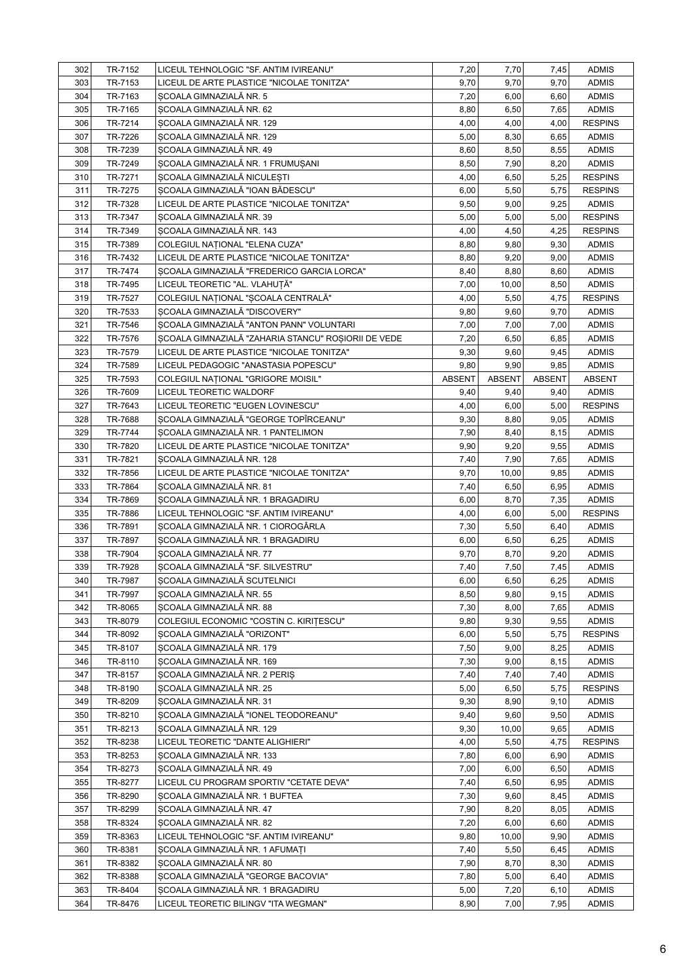| 302 | TR-7152 | LICEUL TEHNOLOGIC "SF. ANTIM IVIREANU"              | 7,20          | 7,70          | 7,45          | <b>ADMIS</b>   |
|-----|---------|-----------------------------------------------------|---------------|---------------|---------------|----------------|
| 303 | TR-7153 | LICEUL DE ARTE PLASTICE "NICOLAE TONITZA"           | 9,70          | 9,70          | 9,70          | <b>ADMIS</b>   |
| 304 | TR-7163 | SCOALA GIMNAZIALĂ NR. 5                             | 7,20          | 6,00          | 6,60          | <b>ADMIS</b>   |
| 305 | TR-7165 | SCOALA GIMNAZIALĂ NR. 62                            | 8,80          | 6,50          | 7,65          | <b>ADMIS</b>   |
| 306 | TR-7214 | SCOALA GIMNAZIALĂ NR. 129                           | 4,00          | 4,00          | 4,00          | <b>RESPINS</b> |
| 307 | TR-7226 | SCOALA GIMNAZIALĂ NR. 129                           | 5,00          | 8,30          | 6,65          | <b>ADMIS</b>   |
| 308 | TR-7239 | SCOALA GIMNAZIALĂ NR. 49                            | 8,60          | 8,50          | 8,55          | <b>ADMIS</b>   |
| 309 | TR-7249 | SCOALA GIMNAZIALĂ NR. 1 FRUMUȘANI                   | 8,50          | 7,90          | 8,20          | <b>ADMIS</b>   |
| 310 | TR-7271 | SCOALA GIMNAZIALĂ NICULESTI                         | 4,00          | 6,50          | 5,25          | <b>RESPINS</b> |
| 311 | TR-7275 | SCOALA GIMNAZIALĂ "IOAN BĂDESCU"                    | 6,00          | 5,50          | 5,75          | <b>RESPINS</b> |
| 312 | TR-7328 | LICEUL DE ARTE PLASTICE "NICOLAE TONITZA"           | 9,50          | 9,00          | 9,25          | <b>ADMIS</b>   |
| 313 | TR-7347 | SCOALA GIMNAZIALĂ NR. 39                            | 5,00          | 5,00          | 5,00          | <b>RESPINS</b> |
| 314 | TR-7349 | SCOALA GIMNAZIALĂ NR. 143                           | 4,00          | 4,50          | 4,25          | <b>RESPINS</b> |
| 315 | TR-7389 | COLEGIUL NAȚIONAL "ELENA CUZA"                      | 8,80          | 9,80          | 9,30          | <b>ADMIS</b>   |
| 316 | TR-7432 | LICEUL DE ARTE PLASTICE "NICOLAE TONITZA"           | 8,80          | 9,20          | 9,00          | <b>ADMIS</b>   |
| 317 | TR-7474 | SCOALA GIMNAZIALĂ "FREDERICO GARCIA LORCA"          | 8,40          | 8,80          | 8,60          | <b>ADMIS</b>   |
| 318 | TR-7495 | LICEUL TEORETIC "AL. VLAHUȚĂ"                       | 7,00          | 10,00         | 8,50          | <b>ADMIS</b>   |
| 319 | TR-7527 | COLEGIUL NAȚIONAL "ȘCOALA CENTRALĂ"                 | 4,00          | 5,50          | 4,75          | <b>RESPINS</b> |
| 320 | TR-7533 | SCOALA GIMNAZIALĂ "DISCOVERY"                       | 9,80          | 9,60          | 9,70          | <b>ADMIS</b>   |
| 321 | TR-7546 | SCOALA GIMNAZIALĂ "ANTON PANN" VOLUNTARI            | 7,00          | 7,00          | 7,00          | <b>ADMIS</b>   |
| 322 | TR-7576 | SCOALA GIMNAZIALĂ "ZAHARIA STANCU" ROSIORII DE VEDE | 7,20          | 6,50          | 6,85          | <b>ADMIS</b>   |
| 323 | TR-7579 | LICEUL DE ARTE PLASTICE "NICOLAE TONITZA"           | 9,30          | 9,60          | 9,45          | <b>ADMIS</b>   |
| 324 | TR-7589 | LICEUL PEDAGOGIC "ANASTASIA POPESCU"                | 9,80          | 9,90          | 9,85          | <b>ADMIS</b>   |
| 325 | TR-7593 | COLEGIUL NATIONAL "GRIGORE MOISIL"                  | <b>ABSENT</b> | <b>ABSENT</b> | <b>ABSENT</b> | ABSENT         |
| 326 | TR-7609 | LICEUL TEORETIC WALDORF                             | 9,40          | 9,40          | 9,40          | <b>ADMIS</b>   |
| 327 | TR-7643 | LICEUL TEORETIC "EUGEN LOVINESCU"                   | 4,00          | 6,00          | 5,00          | <b>RESPINS</b> |
| 328 | TR-7688 | SCOALA GIMNAZIALĂ "GEORGE TOPÎRCEANU"               | 9,30          | 8,80          | 9,05          | <b>ADMIS</b>   |
| 329 | TR-7744 | SCOALA GIMNAZIALĂ NR. 1 PANTELIMON                  | 7,90          | 8,40          | 8,15          | <b>ADMIS</b>   |
| 330 | TR-7820 | LICEUL DE ARTE PLASTICE "NICOLAE TONITZA"           | 9,90          | 9,20          | 9,55          | <b>ADMIS</b>   |
| 331 | TR-7821 | SCOALA GIMNAZIALĂ NR. 128                           | 7,40          | 7,90          | 7,65          | <b>ADMIS</b>   |
| 332 | TR-7856 | LICEUL DE ARTE PLASTICE "NICOLAE TONITZA"           | 9,70          | 10,00         | 9,85          | <b>ADMIS</b>   |
| 333 | TR-7864 | SCOALA GIMNAZIALĂ NR. 81                            | 7,40          | 6,50          | 6,95          | <b>ADMIS</b>   |
| 334 | TR-7869 | SCOALA GIMNAZIALĂ NR. 1 BRAGADIRU                   | 6,00          | 8,70          | 7,35          | <b>ADMIS</b>   |
| 335 | TR-7886 | LICEUL TEHNOLOGIC "SF. ANTIM IVIREANU"              | 4,00          | 6,00          | 5,00          | <b>RESPINS</b> |
| 336 | TR-7891 | SCOALA GIMNAZIALĂ NR. 1 CIOROGÂRLA                  | 7,30          | 5,50          | 6,40          | <b>ADMIS</b>   |
| 337 | TR-7897 | SCOALA GIMNAZIALĂ NR. 1 BRAGADIRU                   | 6,00          | 6,50          | 6,25          | <b>ADMIS</b>   |
| 338 | TR-7904 | SCOALA GIMNAZIALĂ NR. 77                            | 9,70          | 8,70          | 9,20          | <b>ADMIS</b>   |
| 339 | TR-7928 | ȘCOALA GIMNAZIALĂ "SF. SILVESTRU"                   | 7,40          | 7,50          | 7,45          | <b>ADMIS</b>   |
| 340 | TR-7987 | ȘCOALA GIMNAZIALĂ SCUTELNICI                        | 6,00          | 6,50          | 6,25          | <b>ADMIS</b>   |
| 341 | TR-7997 | SCOALA GIMNAZIALĂ NR. 55                            | 8,50          | 9,80          | 9,15          | <b>ADMIS</b>   |
| 342 | TR-8065 | SCOALA GIMNAZIALĂ NR. 88                            | 7,30          | 8,00          | 7,65          | <b>ADMIS</b>   |
| 343 | TR-8079 | COLEGIUL ECONOMIC "COSTIN C. KIRITESCU"             | 9,80          | 9,30          | 9,55          | <b>ADMIS</b>   |
| 344 | TR-8092 | SCOALA GIMNAZIALĂ "ORIZONT"                         | 6,00          | 5,50          | 5,75          | <b>RESPINS</b> |
| 345 | TR-8107 | SCOALA GIMNAZIALĂ NR. 179                           | 7,50          | 9,00          | 8,25          | <b>ADMIS</b>   |
| 346 | TR-8110 | SCOALA GIMNAZIALĂ NR. 169                           | 7,30          | 9,00          | 8,15          | <b>ADMIS</b>   |
| 347 | TR-8157 | SCOALA GIMNAZIALĂ NR. 2 PERIS                       | 7,40          | 7,40          | 7,40          | <b>ADMIS</b>   |
| 348 | TR-8190 | SCOALA GIMNAZIALĂ NR. 25                            | 5,00          | 6,50          | 5,75          | <b>RESPINS</b> |
| 349 | TR-8209 | SCOALA GIMNAZIALĂ NR. 31                            | 9,30          | 8,90          | 9,10          | <b>ADMIS</b>   |
| 350 | TR-8210 | SCOALA GIMNAZIALĂ "IONEL TEODOREANU"                | 9,40          | 9,60          | 9,50          | <b>ADMIS</b>   |
| 351 | TR-8213 | SCOALA GIMNAZIALĂ NR. 129                           | 9,30          | 10,00         | 9,65          | <b>ADMIS</b>   |
| 352 | TR-8238 | LICEUL TEORETIC "DANTE ALIGHIERI"                   | 4,00          | 5,50          | 4,75          | <b>RESPINS</b> |
| 353 | TR-8253 | SCOALA GIMNAZIALĂ NR. 133                           | 7,80          | 6,00          | 6,90          | <b>ADMIS</b>   |
| 354 | TR-8273 | SCOALA GIMNAZIALĂ NR. 49                            | 7,00          | 6,00          | 6,50          | <b>ADMIS</b>   |
| 355 | TR-8277 | LICEUL CU PROGRAM SPORTIV "CETATE DEVA"             | 7,40          | 6,50          | 6,95          | <b>ADMIS</b>   |
| 356 | TR-8290 | SCOALA GIMNAZIALĂ NR. 1 BUFTEA                      | 7,30          | 9,60          | 8,45          | <b>ADMIS</b>   |
| 357 | TR-8299 | SCOALA GIMNAZIALĂ NR. 47                            | 7,90          | 8,20          | 8,05          | <b>ADMIS</b>   |
| 358 | TR-8324 | SCOALA GIMNAZIALĂ NR. 82                            | 7,20          | 6,00          | 6,60          | <b>ADMIS</b>   |
| 359 | TR-8363 | LICEUL TEHNOLOGIC "SF. ANTIM IVIREANU"              | 9,80          | 10,00         | 9,90          | <b>ADMIS</b>   |
| 360 | TR-8381 | ȘCOALA GIMNAZIALĂ NR. 1 AFUMAȚI                     | 7,40          | 5,50          | 6,45          | <b>ADMIS</b>   |
| 361 | TR-8382 | SCOALA GIMNAZIALĂ NR. 80                            | 7,90          | 8,70          | 8,30          | <b>ADMIS</b>   |
| 362 | TR-8388 | SCOALA GIMNAZIALĂ "GEORGE BACOVIA"                  | 7,80          | 5,00          | 6,40          | <b>ADMIS</b>   |
| 363 | TR-8404 | SCOALA GIMNAZIALĂ NR. 1 BRAGADIRU                   | 5,00          | 7,20          | 6,10          | <b>ADMIS</b>   |
| 364 | TR-8476 | LICEUL TEORETIC BILINGV "ITA WEGMAN"                | 8,90          | 7,00          | 7,95          | <b>ADMIS</b>   |
|     |         |                                                     |               |               |               |                |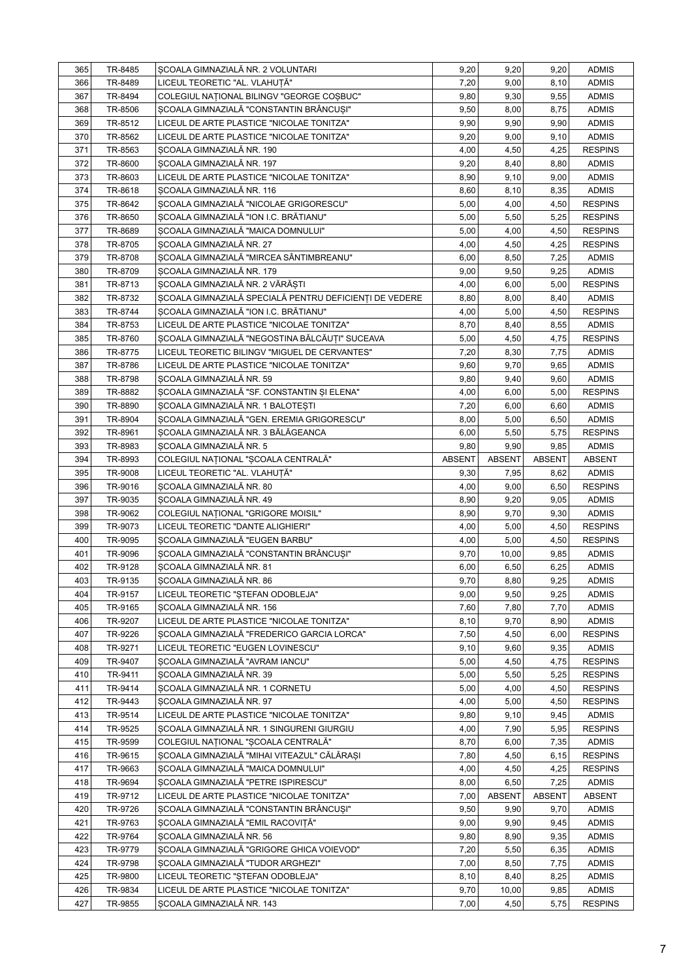| 365        | TR-8485 | SCOALA GIMNAZIALĂ NR. 2 VOLUNTARI                      | 9,20          | 9,20          | 9,20          | <b>ADMIS</b>                 |
|------------|---------|--------------------------------------------------------|---------------|---------------|---------------|------------------------------|
| 366        | TR-8489 | LICEUL TEORETIC "AL. VLAHUȚĂ"                          | 7,20          | 9,00          | 8,10          | <b>ADMIS</b>                 |
| 367        | TR-8494 | COLEGIUL NATIONAL BILINGV "GEORGE COSBUC"              | 9,80          | 9,30          | 9,55          | <b>ADMIS</b>                 |
| 368        | TR-8506 | SCOALA GIMNAZIALĂ "CONSTANTIN BRÂNCUȘI"                | 9,50          | 8,00          | 8,75          | <b>ADMIS</b>                 |
| 369        | TR-8512 | LICEUL DE ARTE PLASTICE "NICOLAE TONITZA"              | 9,90          | 9,90          | 9,90          | <b>ADMIS</b>                 |
| 370        | TR-8562 | LICEUL DE ARTE PLASTICE "NICOLAE TONITZA"              | 9,20          | 9,00          | 9,10          | <b>ADMIS</b>                 |
| 371        | TR-8563 | SCOALA GIMNAZIALĂ NR. 190                              | 4,00          | 4,50          | 4,25          | <b>RESPINS</b>               |
| 372        | TR-8600 | SCOALA GIMNAZIALĂ NR. 197                              | 9,20          | 8,40          | 8,80          | <b>ADMIS</b>                 |
| 373        | TR-8603 | LICEUL DE ARTE PLASTICE "NICOLAE TONITZA"              | 8,90          | 9,10          | 9,00          | <b>ADMIS</b>                 |
| 374        | TR-8618 | SCOALA GIMNAZIALĂ NR. 116                              | 8,60          | 8,10          | 8,35          | <b>ADMIS</b>                 |
| 375        | TR-8642 | SCOALA GIMNAZIALĂ "NICOLAE GRIGORESCU"                 | 5,00          | 4,00          | 4,50          | <b>RESPINS</b>               |
| 376        | TR-8650 | SCOALA GIMNAZIALĂ "ION I.C. BRĂTIANU"                  | 5,00          | 5,50          | 5,25          | <b>RESPINS</b>               |
| 377        | TR-8689 | SCOALA GIMNAZIALĂ "MAICA DOMNULUI"                     | 5,00          | 4,00          | 4,50          | <b>RESPINS</b>               |
| 378        | TR-8705 | SCOALA GIMNAZIALĂ NR. 27                               | 4,00          | 4,50          | 4,25          | <b>RESPINS</b>               |
| 379        | TR-8708 | SCOALA GIMNAZIALĂ "MIRCEA SÂNTIMBREANU"                | 6,00          | 8,50          | 7,25          | <b>ADMIS</b>                 |
| 380        | TR-8709 | SCOALA GIMNAZIALĂ NR. 179                              | 9,00          | 9,50          | 9,25          | <b>ADMIS</b>                 |
| 381        | TR-8713 | ŞCOALA GIMNAZIALĂ NR. 2 VĂRĂȘTI                        | 4,00          | 6,00          | 5,00          | <b>RESPINS</b>               |
| 382        | TR-8732 | ȘCOALA GIMNAZIALĂ SPECIALĂ PENTRU DEFICIENȚI DE VEDERE | 8,80          | 8,00          | 8,40          | <b>ADMIS</b>                 |
| 383        | TR-8744 | ȘCOALA GIMNAZIALĂ "ION I.C. BRĂTIANU"                  | 4,00          | 5,00          | 4,50          | <b>RESPINS</b>               |
| 384        | TR-8753 | LICEUL DE ARTE PLASTICE "NICOLAE TONITZA"              | 8,70          | 8,40          | 8,55          | <b>ADMIS</b>                 |
| 385        | TR-8760 | ȘCOALA GIMNAZIALĂ "NEGOSTINA BĂLCĂUȚI" SUCEAVA         | 5,00          | 4,50          | 4,75          | <b>RESPINS</b>               |
| 386        | TR-8775 | LICEUL TEORETIC BILINGV "MIGUEL DE CERVANTES"          | 7,20          | 8,30          | 7,75          | <b>ADMIS</b>                 |
| 387        | TR-8786 | LICEUL DE ARTE PLASTICE "NICOLAE TONITZA"              | 9,60          | 9,70          | 9,65          | <b>ADMIS</b>                 |
| 388        | TR-8798 | SCOALA GIMNAZIALĂ NR. 59                               | 9,80          | 9,40          | 9,60          | <b>ADMIS</b>                 |
| 389        | TR-8882 | ȘCOALA GIMNAZIALĂ "SF. CONSTANTIN ȘI ELENA"            | 4,00          | 6,00          | 5,00          | <b>RESPINS</b>               |
| 390        | TR-8890 | SCOALA GIMNAZIALĂ NR. 1 BALOTESTI                      | 7,20          | 6,00          | 6,60          | <b>ADMIS</b>                 |
| 391        | TR-8904 | SCOALA GIMNAZIALĂ "GEN. EREMIA GRIGORESCU"             | 8,00          | 5,00          | 6,50          | <b>ADMIS</b>                 |
| 392        | TR-8961 | SCOALA GIMNAZIALĂ NR. 3 BĂLĂGEANCA                     | 6,00          | 5,50          | 5,75          | <b>RESPINS</b>               |
| 393        | TR-8983 | SCOALA GIMNAZIALĂ NR. 5                                | 9,80          | 9,90          | 9,85          | <b>ADMIS</b>                 |
| 394        | TR-8993 | COLEGIUL NAȚIONAL "ȘCOALA CENTRALĂ"                    | <b>ABSENT</b> | <b>ABSENT</b> | <b>ABSENT</b> | <b>ABSENT</b>                |
| 395        | TR-9008 | LICEUL TEORETIC "AL. VLAHUȚĂ"                          | 9,30          | 7,95          | 8,62          | <b>ADMIS</b>                 |
| 396        | TR-9016 | SCOALA GIMNAZIALĂ NR. 80                               | 4,00          | 9,00          | 6,50          | <b>RESPINS</b>               |
| 397        | TR-9035 | SCOALA GIMNAZIALĂ NR. 49                               | 8,90          | 9,20          | 9,05          | <b>ADMIS</b>                 |
| 398        | TR-9062 | COLEGIUL NAȚIONAL "GRIGORE MOISIL"                     | 8,90          | 9,70          | 9,30          | <b>ADMIS</b>                 |
| 399        | TR-9073 | LICEUL TEORETIC "DANTE ALIGHIERI"                      | 4,00          | 5,00          | 4,50          | <b>RESPINS</b>               |
| 400        | TR-9095 | SCOALA GIMNAZIALĂ "EUGEN BARBU"                        | 4,00          | 5,00          | 4,50          | <b>RESPINS</b>               |
| 401        | TR-9096 | SCOALA GIMNAZIALĂ "CONSTANTIN BRÂNCUȘI"                | 9,70          | 10,00         | 9,85          | <b>ADMIS</b>                 |
| 402        | TR-9128 | SCOALA GIMNAZIALĂ NR. 81                               | 6,00          | 6,50          | 6,25          | <b>ADMIS</b>                 |
| 403        | TR-9135 | SCOALA GIMNAZIALĂ NR. 86                               | 9,70          | 8,80          | 9,25          | <b>ADMIS</b>                 |
| 404        | TR-9157 | LICEUL TEORETIC "STEFAN ODOBLEJA"                      | 9,00          | 9,50          | 9,25          | <b>ADMIS</b>                 |
| 405        | TR-9165 | SCOALA GIMNAZIALĂ NR. 156                              | 7,60          | 7,80          | 7,70          | <b>ADMIS</b>                 |
| 406        | TR-9207 | LICEUL DE ARTE PLASTICE "NICOLAE TONITZA"              | 8,10          | 9,70          | 8,90          | <b>ADMIS</b>                 |
| 407        | TR-9226 | SCOALA GIMNAZIALĂ "FREDERICO GARCIA LORCA"             | 7,50          | 4,50          | 6,00          | <b>RESPINS</b>               |
| 408        | TR-9271 | LICEUL TEORETIC "EUGEN LOVINESCU"                      | 9,10          | 9,60          | 9,35          | <b>ADMIS</b>                 |
| 409        | TR-9407 | SCOALA GIMNAZIALĂ "AVRAM IANCU"                        | 5,00          | 4,50          | 4,75          | <b>RESPINS</b>               |
| 410        | TR-9411 | SCOALA GIMNAZIALĂ NR. 39                               | 5,00          | 5,50          | 5,25          | <b>RESPINS</b>               |
| 411        | TR-9414 | SCOALA GIMNAZIALĂ NR. 1 CORNETU                        | 5,00          | 4,00          | 4,50          | <b>RESPINS</b>               |
| 412        | TR-9443 | SCOALA GIMNAZIALĂ NR. 97                               | 4,00          | 5,00          | 4,50          | <b>RESPINS</b>               |
| 413        | TR-9514 | LICEUL DE ARTE PLASTICE "NICOLAE TONITZA"              | 9,80          | 9,10          | 9,45          | <b>ADMIS</b>                 |
| 414        | TR-9525 | SCOALA GIMNAZIALĂ NR. 1 SINGURENI GIURGIU              | 4,00          | 7,90          | 5,95          | <b>RESPINS</b>               |
| 415        | TR-9599 | COLEGIUL NAȚIONAL "ȘCOALA CENTRALĂ"                    | 8,70          | 6,00          | 7,35          | <b>ADMIS</b>                 |
| 416        | TR-9615 | SCOALA GIMNAZIALĂ "MIHAI VITEAZUL" CĂLĂRAȘI            | 7,80          | 4,50          | 6,15          | <b>RESPINS</b>               |
| 417        | TR-9663 | SCOALA GIMNAZIALĂ "MAICA DOMNULUI"                     | 4,00          | 4,50          | 4,25          | <b>RESPINS</b>               |
| 418        | TR-9694 | SCOALA GIMNAZIALĂ "PETRE ISPIRESCU"                    | 8,00          | 6,50          | 7,25          | <b>ADMIS</b>                 |
| 419        | TR-9712 | LICEUL DE ARTE PLASTICE "NICOLAE TONITZA"              | 7,00          | <b>ABSENT</b> | <b>ABSENT</b> | ABSENT                       |
| 420        | TR-9726 | SCOALA GIMNAZIALĂ "CONSTANTIN BRÂNCUȘI"                | 9,50          | 9,90          | 9,70          | <b>ADMIS</b>                 |
| 421        | TR-9763 | SCOALA GIMNAZIALĂ "EMIL RACOVIȚĂ"                      | 9,00          | 9,90          | 9,45          | <b>ADMIS</b>                 |
| 422        | TR-9764 | SCOALA GIMNAZIALĂ NR. 56                               | 9,80          | 8,90          |               |                              |
| 423        | TR-9779 | SCOALA GIMNAZIALĂ "GRIGORE GHICA VOIEVOD"              | 7,20          | 5,50          | 9,35<br>6,35  | <b>ADMIS</b><br><b>ADMIS</b> |
| 424        | TR-9798 | SCOALA GIMNAZIALĂ "TUDOR ARGHEZI"                      |               |               |               |                              |
|            | TR-9800 | LICEUL TEORETIC "STEFAN ODOBLEJA"                      | 7,00          | 8,50          | 7,75          | <b>ADMIS</b>                 |
| 425        |         | LICEUL DE ARTE PLASTICE "NICOLAE TONITZA"              | 8,10          | 8,40          | 8,25          | <b>ADMIS</b>                 |
| 426<br>427 | TR-9834 |                                                        | 9,70          | 10,00         | 9,85          | <b>ADMIS</b>                 |
|            | TR-9855 | SCOALA GIMNAZIALĂ NR. 143                              | 7,00          | 4,50          | 5,75          | <b>RESPINS</b>               |